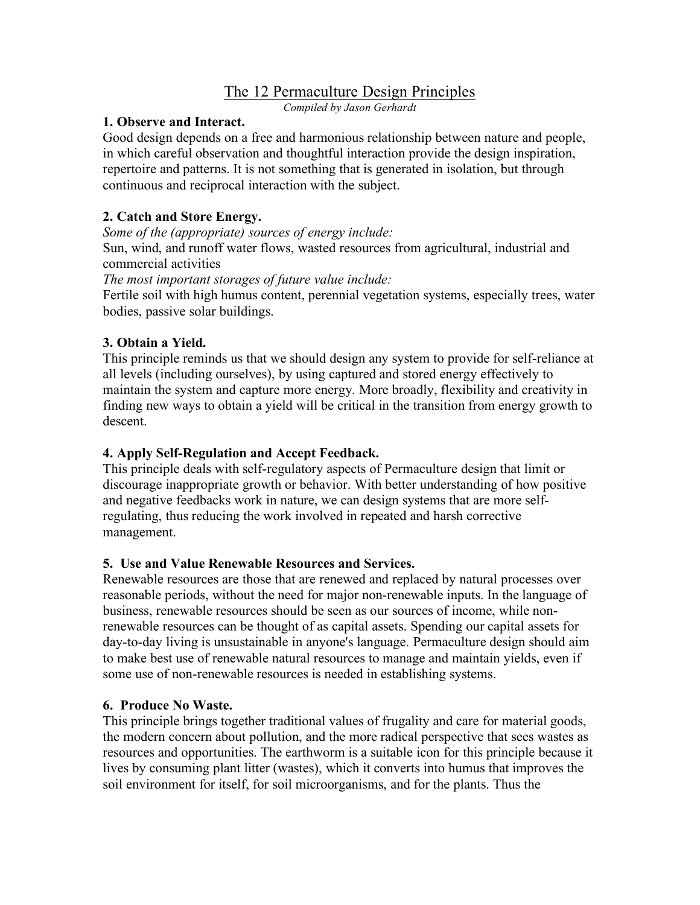# The 12 Permaculture Design Principles

*Compiled by Jason Gerhardt*

#### **1. Observe and Interact.**

Good design depends on a free and harmonious relationship between nature and people, in which careful observation and thoughtful interaction provide the design inspiration, repertoire and patterns. It is not something that is generated in isolation, but through continuous and reciprocal interaction with the subject.

### **2. Catch and Store Energy.**

*Some of the (appropriate) sources of energy include:* Sun, wind, and runoff water flows, wasted resources from agricultural, industrial and commercial activities

*The most important storages of future value include:*

Fertile soil with high humus content, perennial vegetation systems, especially trees, water bodies, passive solar buildings.

#### **3. Obtain a Yield.**

This principle reminds us that we should design any system to provide for self-reliance at all levels (including ourselves), by using captured and stored energy effectively to maintain the system and capture more energy. More broadly, flexibility and creativity in finding new ways to obtain a yield will be critical in the transition from energy growth to descent.

#### **4. Apply Self-Regulation and Accept Feedback.**

This principle deals with self-regulatory aspects of Permaculture design that limit or discourage inappropriate growth or behavior. With better understanding of how positive and negative feedbacks work in nature, we can design systems that are more selfregulating, thus reducing the work involved in repeated and harsh corrective management.

#### **5. Use and Value Renewable Resources and Services.**

Renewable resources are those that are renewed and replaced by natural processes over reasonable periods, without the need for major non-renewable inputs. In the language of business, renewable resources should be seen as our sources of income, while nonrenewable resources can be thought of as capital assets. Spending our capital assets for day-to-day living is unsustainable in anyone's language. Permaculture design should aim to make best use of renewable natural resources to manage and maintain yields, even if some use of non-renewable resources is needed in establishing systems.

#### **6. Produce No Waste.**

This principle brings together traditional values of frugality and care for material goods, the modern concern about pollution, and the more radical perspective that sees wastes as resources and opportunities. The earthworm is a suitable icon for this principle because it lives by consuming plant litter (wastes), which it converts into humus that improves the soil environment for itself, for soil microorganisms, and for the plants. Thus the